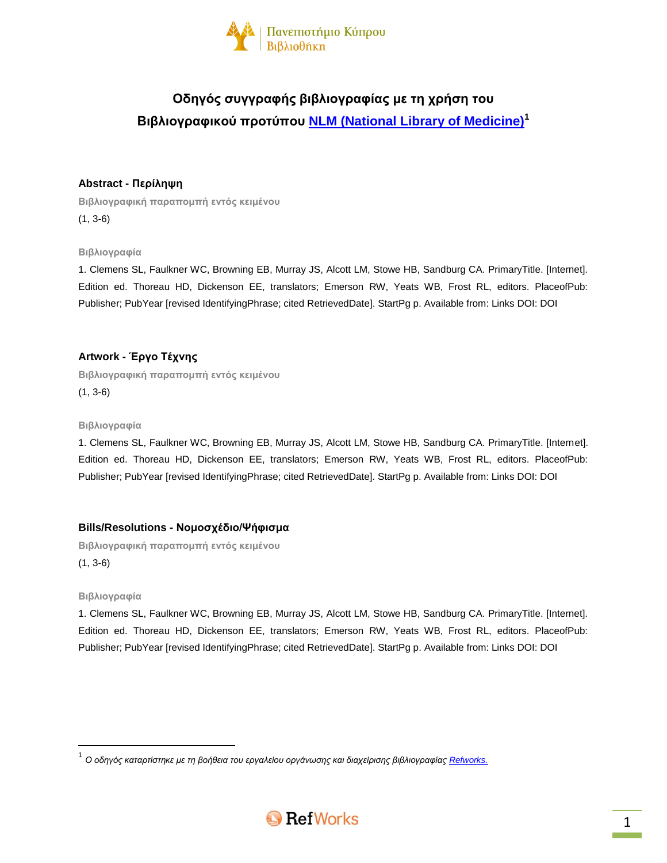

# **Οδηγός συγγραφής βιβλιογραφίας με τη χρήση του Βιβλιογραφικού προτύπου NLM [\(National Library of Medicine\)](http://www.nlm.nih.gov/bsd/uniform_requirements.html)<sup>1</sup>**

# **Abstract - Περίληψη**

**Βιβλιογραφική παραπομπή εντός κειμένου** (1, 3-6)

**Βιβλιογραφία**

1. Clemens SL, Faulkner WC, Browning EB, Murray JS, Alcott LM, Stowe HB, Sandburg CA. PrimaryTitle. [Internet]. Edition ed. Thoreau HD, Dickenson EE, translators; Emerson RW, Yeats WB, Frost RL, editors. PlaceofPub: Publisher; PubYear [revised IdentifyingPhrase; cited RetrievedDate]. StartPg p. Available from: Links DOI: DOI

# **Artwork - Έργο Τέχνης**

**Βιβλιογραφική παραπομπή εντός κειμένου** (1, 3-6)

#### **Βιβλιογραφία**

1. Clemens SL, Faulkner WC, Browning EB, Murray JS, Alcott LM, Stowe HB, Sandburg CA. PrimaryTitle. [Internet]. Edition ed. Thoreau HD, Dickenson EE, translators; Emerson RW, Yeats WB, Frost RL, editors. PlaceofPub: Publisher; PubYear [revised IdentifyingPhrase; cited RetrievedDate]. StartPg p. Available from: Links DOI: DOI

# **Bills/Resolutions - Νομοσχέδιο/Ψήφισμα**

**Βιβλιογραφική παραπομπή εντός κειμένου** (1, 3-6)

#### **Βιβλιογραφία**

 $\overline{\phantom{a}}$ 

1. Clemens SL, Faulkner WC, Browning EB, Murray JS, Alcott LM, Stowe HB, Sandburg CA. PrimaryTitle. [Internet]. Edition ed. Thoreau HD, Dickenson EE, translators; Emerson RW, Yeats WB, Frost RL, editors. PlaceofPub: Publisher; PubYear [revised IdentifyingPhrase; cited RetrievedDate]. StartPg p. Available from: Links DOI: DOI

<sup>.&</sup>lt;br><sup>1</sup> Ο οδηγός καταρτίστηκε με τη βοήθεια του εργαλείου οργάνωσης και διαχείρισης βιβλιογραφίας <u>Refworks.</u>

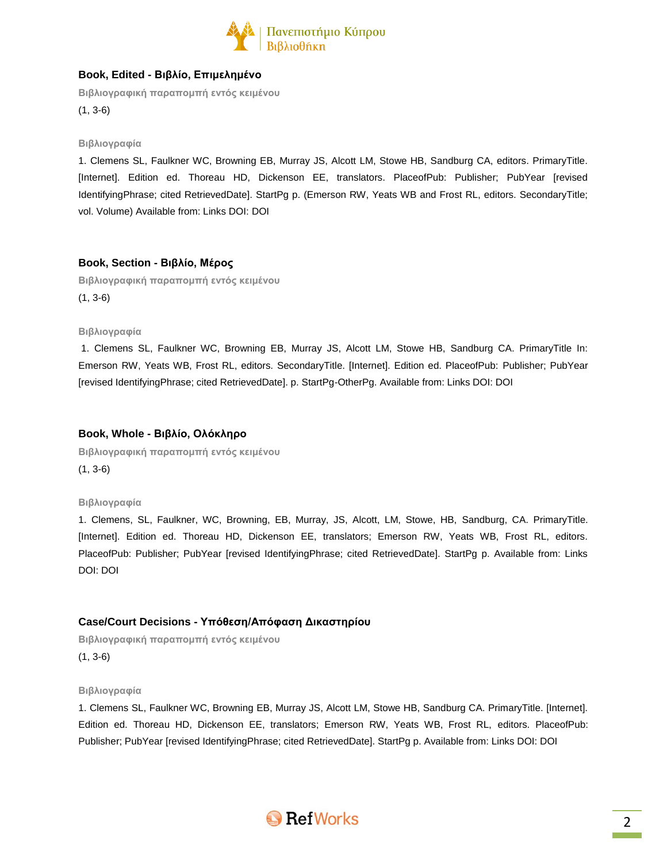

# **Book, Edited - Βιβλίο, Επιμελημένο**

**Βιβλιογραφική παραπομπή εντός κειμένου** (1, 3-6)

#### **Βιβλιογραφία**

1. Clemens SL, Faulkner WC, Browning EB, Murray JS, Alcott LM, Stowe HB, Sandburg CA, editors. PrimaryTitle. [Internet]. Edition ed. Thoreau HD, Dickenson EE, translators. PlaceofPub: Publisher; PubYear [revised IdentifyingPhrase; cited RetrievedDate]. StartPg p. (Emerson RW, Yeats WB and Frost RL, editors. SecondaryTitle; vol. Volume) Available from: Links DOI: DOI

#### **Book, Section - Βιβλίο, Μέρος**

**Βιβλιογραφική παραπομπή εντός κειμένου** (1, 3-6)

#### **Βιβλιογραφία**

1. Clemens SL, Faulkner WC, Browning EB, Murray JS, Alcott LM, Stowe HB, Sandburg CA. PrimaryTitle In: Emerson RW, Yeats WB, Frost RL, editors. SecondaryTitle. [Internet]. Edition ed. PlaceofPub: Publisher; PubYear [revised IdentifyingPhrase; cited RetrievedDate]. p. StartPg-OtherPg. Available from: Links DOI: DOI

#### **Book, Whole - Βιβλίο, Ολόκληρο**

**Βιβλιογραφική παραπομπή εντός κειμένου** (1, 3-6)

#### **Βιβλιογραφία**

1. Clemens, SL, Faulkner, WC, Browning, EB, Murray, JS, Alcott, LM, Stowe, HB, Sandburg, CA. PrimaryTitle. [Internet]. Edition ed. Thoreau HD, Dickenson EE, translators; Emerson RW, Yeats WB, Frost RL, editors. PlaceofPub: Publisher; PubYear [revised IdentifyingPhrase; cited RetrievedDate]. StartPg p. Available from: Links DOI: DOI

# **Case/Court Decisions - Υπόθεση/Απόφαση Δικαστηρίου**

**Βιβλιογραφική παραπομπή εντός κειμένου** (1, 3-6)

# **Βιβλιογραφία**

1. Clemens SL, Faulkner WC, Browning EB, Murray JS, Alcott LM, Stowe HB, Sandburg CA. PrimaryTitle. [Internet]. Edition ed. Thoreau HD, Dickenson EE, translators; Emerson RW, Yeats WB, Frost RL, editors. PlaceofPub: Publisher; PubYear [revised IdentifyingPhrase; cited RetrievedDate]. StartPg p. Available from: Links DOI: DOI

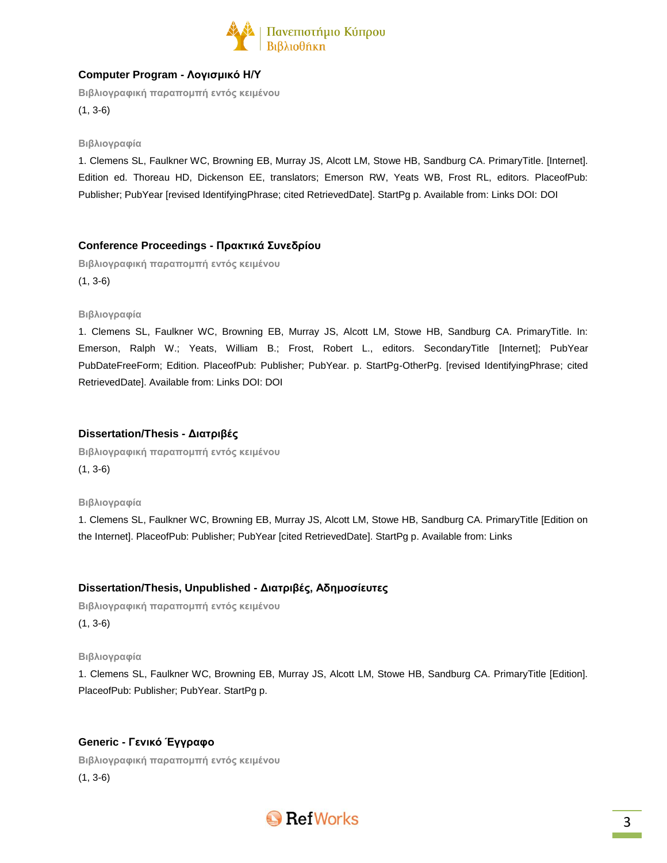

# **Computer Program - Λογισμικό Η/Υ**

**Βιβλιογραφική παραπομπή εντός κειμένου** (1, 3-6)

### **Βιβλιογραφία**

1. Clemens SL, Faulkner WC, Browning EB, Murray JS, Alcott LM, Stowe HB, Sandburg CA. PrimaryTitle. [Internet]. Edition ed. Thoreau HD, Dickenson EE, translators; Emerson RW, Yeats WB, Frost RL, editors. PlaceofPub: Publisher; PubYear [revised IdentifyingPhrase; cited RetrievedDate]. StartPg p. Available from: Links DOI: DOI

# **Conference Proceedings - Πρακτικά Συνεδρίου**

**Βιβλιογραφική παραπομπή εντός κειμένου** (1, 3-6)

#### **Βιβλιογραφία**

1. Clemens SL, Faulkner WC, Browning EB, Murray JS, Alcott LM, Stowe HB, Sandburg CA. PrimaryTitle. In: Emerson, Ralph W.; Yeats, William B.; Frost, Robert L., editors. SecondaryTitle [Internet]; PubYear PubDateFreeForm; Edition. PlaceofPub: Publisher; PubYear. p. StartPg-OtherPg. [revised IdentifyingPhrase; cited RetrievedDate]. Available from: Links DOI: DOI

# **Dissertation/Thesis - Διατριβές**

**Βιβλιογραφική παραπομπή εντός κειμένου** (1, 3-6)

#### **Βιβλιογραφία**

1. Clemens SL, Faulkner WC, Browning EB, Murray JS, Alcott LM, Stowe HB, Sandburg CA. PrimaryTitle [Edition on the Internet]. PlaceofPub: Publisher; PubYear [cited RetrievedDate]. StartPg p. Available from: Links

# **Dissertation/Thesis, Unpublished - Διατριβές, Αδημοσίευτες**

**Βιβλιογραφική παραπομπή εντός κειμένου** (1, 3-6)

#### **Βιβλιογραφία**

1. Clemens SL, Faulkner WC, Browning EB, Murray JS, Alcott LM, Stowe HB, Sandburg CA. PrimaryTitle [Edition]. PlaceofPub: Publisher; PubYear. StartPg p.

# **Generic - Γενικό Έγγραφο**

**Βιβλιογραφική παραπομπή εντός κειμένου** (1, 3-6)

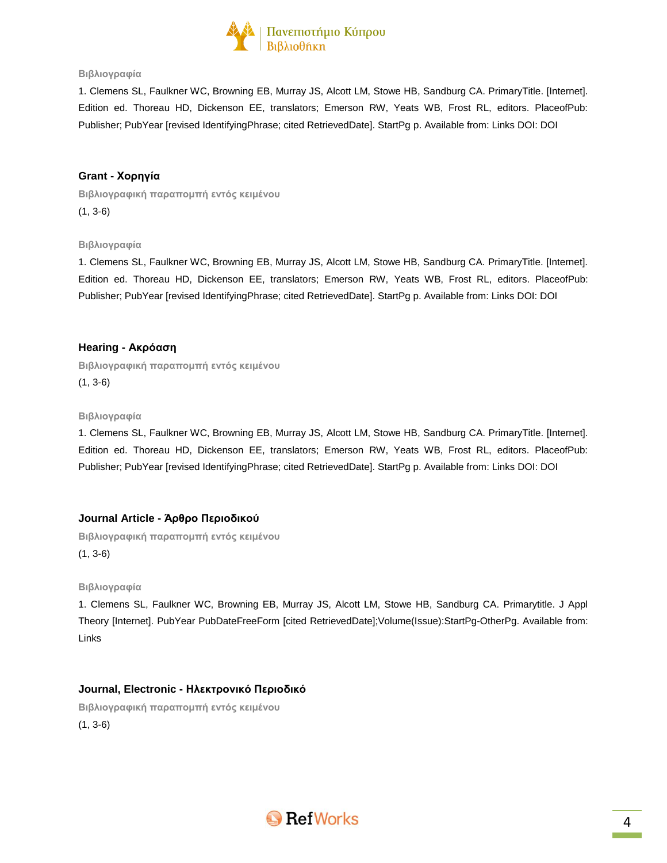

1. Clemens SL, Faulkner WC, Browning EB, Murray JS, Alcott LM, Stowe HB, Sandburg CA. PrimaryTitle. [Internet]. Edition ed. Thoreau HD, Dickenson EE, translators; Emerson RW, Yeats WB, Frost RL, editors. PlaceofPub: Publisher; PubYear [revised IdentifyingPhrase; cited RetrievedDate]. StartPg p. Available from: Links DOI: DOI

### **Grant - Χορηγία**

**Βιβλιογραφική παραπομπή εντός κειμένου** (1, 3-6)

#### **Βιβλιογραφία**

1. Clemens SL, Faulkner WC, Browning EB, Murray JS, Alcott LM, Stowe HB, Sandburg CA. PrimaryTitle. [Internet]. Edition ed. Thoreau HD, Dickenson EE, translators; Emerson RW, Yeats WB, Frost RL, editors. PlaceofPub: Publisher; PubYear [revised IdentifyingPhrase; cited RetrievedDate]. StartPg p. Available from: Links DOI: DOI

### **Hearing - Ακρόαση**

**Βιβλιογραφική παραπομπή εντός κειμένου** (1, 3-6)

#### **Βιβλιογραφία**

1. Clemens SL, Faulkner WC, Browning EB, Murray JS, Alcott LM, Stowe HB, Sandburg CA. PrimaryTitle. [Internet]. Edition ed. Thoreau HD, Dickenson EE, translators; Emerson RW, Yeats WB, Frost RL, editors. PlaceofPub: Publisher; PubYear [revised IdentifyingPhrase; cited RetrievedDate]. StartPg p. Available from: Links DOI: DOI

### **Journal Article - Άρθρο Περιοδικού**

**Βιβλιογραφική παραπομπή εντός κειμένου** (1, 3-6)

#### **Βιβλιογραφία**

1. Clemens SL, Faulkner WC, Browning EB, Murray JS, Alcott LM, Stowe HB, Sandburg CA. Primarytitle. J Appl Theory [Internet]. PubYear PubDateFreeForm [cited RetrievedDate];Volume(Issue):StartPg-OtherPg. Available from: Links

# **Journal, Electronic - Ηλεκτρονικό Περιοδικό**

**Βιβλιογραφική παραπομπή εντός κειμένου** (1, 3-6)

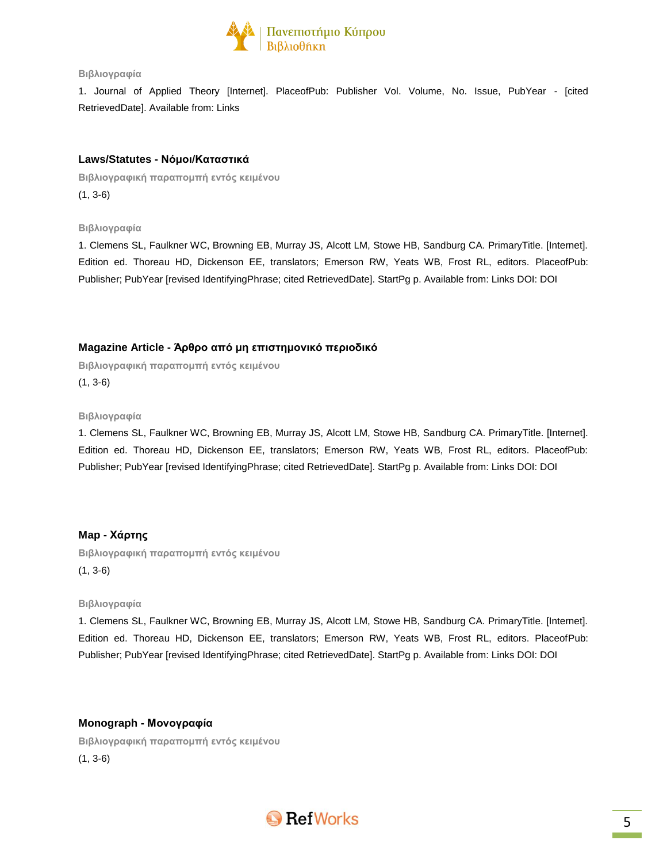

1. Journal of Applied Theory [Internet]. PlaceofPub: Publisher Vol. Volume, No. Issue, PubYear - [cited RetrievedDate]. Available from: Links

# **Laws/Statutes - Νόμοι/Καταστικά**

**Βιβλιογραφική παραπομπή εντός κειμένου** (1, 3-6)

**Βιβλιογραφία**

1. Clemens SL, Faulkner WC, Browning EB, Murray JS, Alcott LM, Stowe HB, Sandburg CA. PrimaryTitle. [Internet]. Edition ed. Thoreau HD, Dickenson EE, translators; Emerson RW, Yeats WB, Frost RL, editors. PlaceofPub: Publisher; PubYear [revised IdentifyingPhrase; cited RetrievedDate]. StartPg p. Available from: Links DOI: DOI

# **Magazine Article - Άρθρο από μη επιστημονικό περιοδικό**

**Βιβλιογραφική παραπομπή εντός κειμένου** (1, 3-6)

**Βιβλιογραφία**

1. Clemens SL, Faulkner WC, Browning EB, Murray JS, Alcott LM, Stowe HB, Sandburg CA. PrimaryTitle. [Internet]. Edition ed. Thoreau HD, Dickenson EE, translators; Emerson RW, Yeats WB, Frost RL, editors. PlaceofPub: Publisher; PubYear [revised IdentifyingPhrase; cited RetrievedDate]. StartPg p. Available from: Links DOI: DOI

# **Map - Χάρτης**

**Βιβλιογραφική παραπομπή εντός κειμένου** (1, 3-6)

#### **Βιβλιογραφία**

1. Clemens SL, Faulkner WC, Browning EB, Murray JS, Alcott LM, Stowe HB, Sandburg CA. PrimaryTitle. [Internet]. Edition ed. Thoreau HD, Dickenson EE, translators; Emerson RW, Yeats WB, Frost RL, editors. PlaceofPub: Publisher; PubYear [revised IdentifyingPhrase; cited RetrievedDate]. StartPg p. Available from: Links DOI: DOI

**Monograph - Μονογραφία Βιβλιογραφική παραπομπή εντός κειμένου** (1, 3-6)

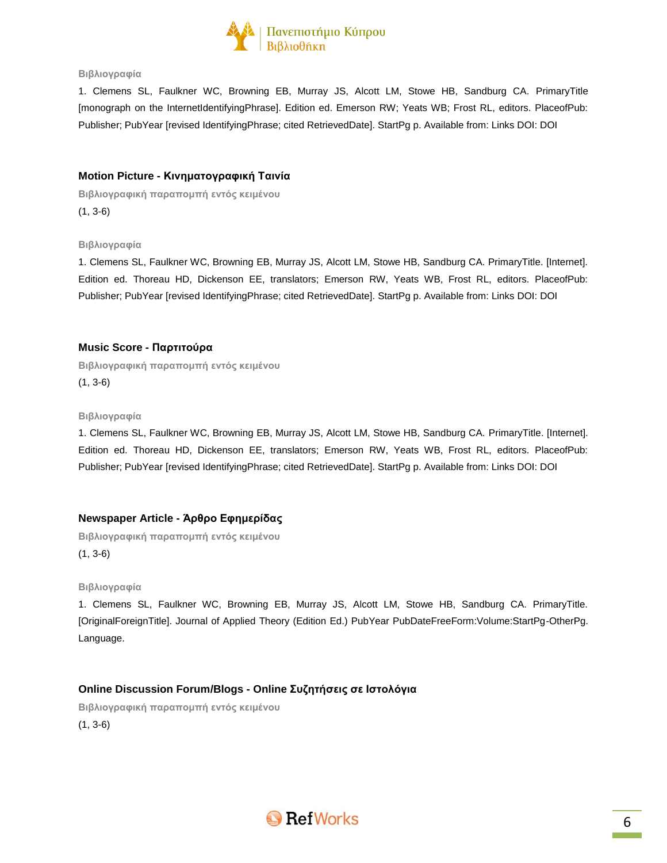

1. Clemens SL, Faulkner WC, Browning EB, Murray JS, Alcott LM, Stowe HB, Sandburg CA. PrimaryTitle [monograph on the InternetIdentifyingPhrase]. Edition ed. Emerson RW; Yeats WB; Frost RL, editors. PlaceofPub: Publisher; PubYear [revised IdentifyingPhrase; cited RetrievedDate]. StartPg p. Available from: Links DOI: DOI

# **Motion Picture - Κινηματογραφική Ταινία**

**Βιβλιογραφική παραπομπή εντός κειμένου** (1, 3-6)

#### **Βιβλιογραφία**

1. Clemens SL, Faulkner WC, Browning EB, Murray JS, Alcott LM, Stowe HB, Sandburg CA. PrimaryTitle. [Internet]. Edition ed. Thoreau HD, Dickenson EE, translators; Emerson RW, Yeats WB, Frost RL, editors. PlaceofPub: Publisher; PubYear [revised IdentifyingPhrase; cited RetrievedDate]. StartPg p. Available from: Links DOI: DOI

# **Music Score - Παρτιτούρα**

**Βιβλιογραφική παραπομπή εντός κειμένου** (1, 3-6)

#### **Βιβλιογραφία**

1. Clemens SL, Faulkner WC, Browning EB, Murray JS, Alcott LM, Stowe HB, Sandburg CA. PrimaryTitle. [Internet]. Edition ed. Thoreau HD, Dickenson EE, translators; Emerson RW, Yeats WB, Frost RL, editors. PlaceofPub: Publisher; PubYear [revised IdentifyingPhrase; cited RetrievedDate]. StartPg p. Available from: Links DOI: DOI

# **Newspaper Article - Άρθρο Εφημερίδας**

**Βιβλιογραφική παραπομπή εντός κειμένου** (1, 3-6)

#### **Βιβλιογραφία**

1. Clemens SL, Faulkner WC, Browning EB, Murray JS, Alcott LM, Stowe HB, Sandburg CA. PrimaryTitle. [OriginalForeignTitle]. Journal of Applied Theory (Edition Ed.) PubYear PubDateFreeForm:Volume:StartPg-OtherPg. Language.

# **Online Discussion Forum/Blogs - Online Συζητήσεις σε Ιστολόγια**

**Βιβλιογραφική παραπομπή εντός κειμένου**

(1, 3-6)

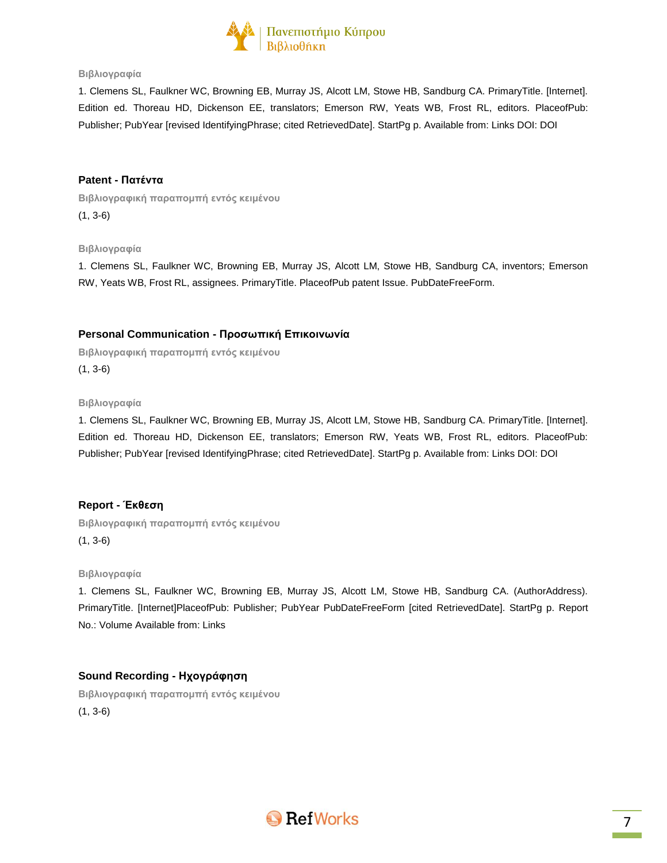

1. Clemens SL, Faulkner WC, Browning EB, Murray JS, Alcott LM, Stowe HB, Sandburg CA. PrimaryTitle. [Internet]. Edition ed. Thoreau HD, Dickenson EE, translators; Emerson RW, Yeats WB, Frost RL, editors. PlaceofPub: Publisher; PubYear [revised IdentifyingPhrase; cited RetrievedDate]. StartPg p. Available from: Links DOI: DOI

### **Patent - Πατέντα**

**Βιβλιογραφική παραπομπή εντός κειμένου** (1, 3-6)

### **Βιβλιογραφία**

1. Clemens SL, Faulkner WC, Browning EB, Murray JS, Alcott LM, Stowe HB, Sandburg CA, inventors; Emerson RW, Yeats WB, Frost RL, assignees. PrimaryTitle. PlaceofPub patent Issue. PubDateFreeForm.

# **Personal Communication - Προσωπική Επικοινωνία**

**Βιβλιογραφική παραπομπή εντός κειμένου** (1, 3-6)

#### **Βιβλιογραφία**

1. Clemens SL, Faulkner WC, Browning EB, Murray JS, Alcott LM, Stowe HB, Sandburg CA. PrimaryTitle. [Internet]. Edition ed. Thoreau HD, Dickenson EE, translators; Emerson RW, Yeats WB, Frost RL, editors. PlaceofPub: Publisher; PubYear [revised IdentifyingPhrase; cited RetrievedDate]. StartPg p. Available from: Links DOI: DOI

# **Report - Έκθεση**

**Βιβλιογραφική παραπομπή εντός κειμένου** (1, 3-6)

#### **Βιβλιογραφία**

1. Clemens SL, Faulkner WC, Browning EB, Murray JS, Alcott LM, Stowe HB, Sandburg CA. (AuthorAddress). PrimaryTitle. [Internet]PlaceofPub: Publisher; PubYear PubDateFreeForm [cited RetrievedDate]. StartPg p. Report No.: Volume Available from: Links

# **Sound Recording - Ηχογράφηση**

**Βιβλιογραφική παραπομπή εντός κειμένου** (1, 3-6)